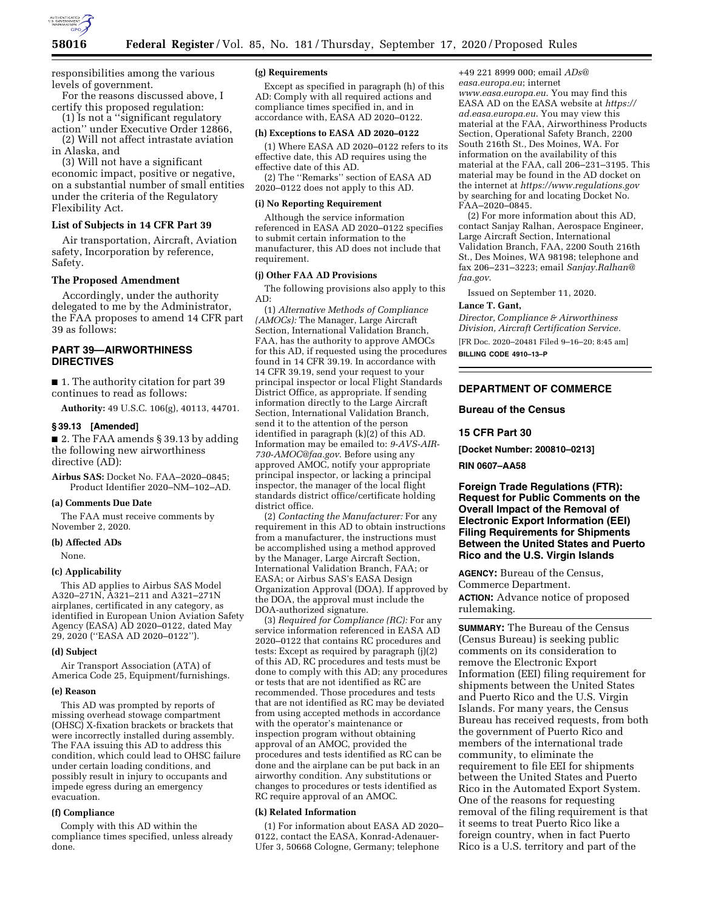

responsibilities among the various levels of government.

For the reasons discussed above, I certify this proposed regulation:

(1) Is not a ''significant regulatory action'' under Executive Order 12866,

(2) Will not affect intrastate aviation in Alaska, and

(3) Will not have a significant economic impact, positive or negative, on a substantial number of small entities under the criteria of the Regulatory Flexibility Act.

# **List of Subjects in 14 CFR Part 39**

Air transportation, Aircraft, Aviation safety, Incorporation by reference, Safety.

# **The Proposed Amendment**

Accordingly, under the authority delegated to me by the Administrator, the FAA proposes to amend 14 CFR part 39 as follows:

# **PART 39—AIRWORTHINESS DIRECTIVES**

■ 1. The authority citation for part 39 continues to read as follows:

**Authority:** 49 U.S.C. 106(g), 40113, 44701.

## **§ 39.13 [Amended]**

■ 2. The FAA amends § 39.13 by adding the following new airworthiness directive (AD):

**Airbus SAS:** Docket No. FAA–2020–0845; Product Identifier 2020–NM–102–AD.

### **(a) Comments Due Date**

The FAA must receive comments by November 2, 2020.

#### **(b) Affected ADs**

None.

#### **(c) Applicability**

This AD applies to Airbus SAS Model A320–271N, A321–211 and A321–271N airplanes, certificated in any category, as identified in European Union Aviation Safety Agency (EASA) AD 2020–0122, dated May 29, 2020 (''EASA AD 2020–0122'').

#### **(d) Subject**

Air Transport Association (ATA) of America Code 25, Equipment/furnishings.

#### **(e) Reason**

This AD was prompted by reports of missing overhead stowage compartment (OHSC) X-fixation brackets or brackets that were incorrectly installed during assembly. The FAA issuing this AD to address this condition, which could lead to OHSC failure under certain loading conditions, and possibly result in injury to occupants and impede egress during an emergency evacuation.

#### **(f) Compliance**

Comply with this AD within the compliance times specified, unless already done.

### **(g) Requirements**

Except as specified in paragraph (h) of this AD: Comply with all required actions and compliance times specified in, and in accordance with, EASA AD 2020–0122.

#### **(h) Exceptions to EASA AD 2020–0122**

(1) Where EASA AD 2020–0122 refers to its effective date, this AD requires using the effective date of this AD.

(2) The ''Remarks'' section of EASA AD 2020–0122 does not apply to this AD.

#### **(i) No Reporting Requirement**

Although the service information referenced in EASA AD 2020–0122 specifies to submit certain information to the manufacturer, this AD does not include that requirement.

#### **(j) Other FAA AD Provisions**

The following provisions also apply to this AD:

(1) *Alternative Methods of Compliance (AMOCs):* The Manager, Large Aircraft Section, International Validation Branch, FAA, has the authority to approve AMOCs for this AD, if requested using the procedures found in 14 CFR 39.19. In accordance with 14 CFR 39.19, send your request to your principal inspector or local Flight Standards District Office, as appropriate. If sending information directly to the Large Aircraft Section, International Validation Branch, send it to the attention of the person identified in paragraph (k)(2) of this AD. Information may be emailed to: *[9-AVS-AIR-](mailto:9-AVS-AIR-730-AMOC@faa.gov)[730-AMOC@faa.gov](mailto:9-AVS-AIR-730-AMOC@faa.gov)*. Before using any approved AMOC, notify your appropriate principal inspector, or lacking a principal inspector, the manager of the local flight standards district office/certificate holding district office.

(2) *Contacting the Manufacturer:* For any requirement in this AD to obtain instructions from a manufacturer, the instructions must be accomplished using a method approved by the Manager, Large Aircraft Section, International Validation Branch, FAA; or EASA; or Airbus SAS's EASA Design Organization Approval (DOA). If approved by the DOA, the approval must include the DOA-authorized signature.

(3) *Required for Compliance (RC):* For any service information referenced in EASA AD 2020–0122 that contains RC procedures and tests: Except as required by paragraph (j)(2) of this AD, RC procedures and tests must be done to comply with this AD; any procedures or tests that are not identified as RC are recommended. Those procedures and tests that are not identified as RC may be deviated from using accepted methods in accordance with the operator's maintenance or inspection program without obtaining approval of an AMOC, provided the procedures and tests identified as RC can be done and the airplane can be put back in an airworthy condition. Any substitutions or changes to procedures or tests identified as RC require approval of an AMOC.

# **(k) Related Information**

(1) For information about EASA AD 2020– 0122, contact the EASA, Konrad-Adenauer-Ufer 3, 50668 Cologne, Germany; telephone

+49 221 8999 000; email *[ADs@](mailto:ADs@easa.europa.eu) [easa.europa.eu](mailto:ADs@easa.europa.eu)*; internet *[www.easa.europa.eu](http://www.easa.europa.eu)*. You may find this EASA AD on the EASA website at *[https://](https://ad.easa.europa.eu) [ad.easa.europa.eu](https://ad.easa.europa.eu)*. You may view this material at the FAA, Airworthiness Products Section, Operational Safety Branch, 2200 South 216th St., Des Moines, WA. For information on the availability of this material at the FAA, call 206–231–3195. This material may be found in the AD docket on the internet at *<https://www.regulations.gov>*  by searching for and locating Docket No. FAA–2020–0845.

(2) For more information about this AD, contact Sanjay Ralhan, Aerospace Engineer, Large Aircraft Section, International Validation Branch, FAA, 2200 South 216th St., Des Moines, WA 98198; telephone and fax 206–231–3223; email *[Sanjay.Ralhan@](mailto:Sanjay.Ralhan@faa.gov) [faa.gov](mailto:Sanjay.Ralhan@faa.gov)*.

Issued on September 11, 2020.

#### **Lance T. Gant,**

*Director, Compliance & Airworthiness Division, Aircraft Certification Service.* 

[FR Doc. 2020–20481 Filed 9–16–20; 8:45 am] **BILLING CODE 4910–13–P** 

# **DEPARTMENT OF COMMERCE**

## **Bureau of the Census**

### **15 CFR Part 30**

**[Docket Number: 200810–0213]** 

## **RIN 0607–AA58**

**Foreign Trade Regulations (FTR): Request for Public Comments on the Overall Impact of the Removal of Electronic Export Information (EEI) Filing Requirements for Shipments Between the United States and Puerto Rico and the U.S. Virgin Islands** 

**AGENCY:** Bureau of the Census, Commerce Department. **ACTION:** Advance notice of proposed rulemaking.

**SUMMARY:** The Bureau of the Census (Census Bureau) is seeking public comments on its consideration to remove the Electronic Export Information (EEI) filing requirement for shipments between the United States and Puerto Rico and the U.S. Virgin Islands. For many years, the Census Bureau has received requests, from both the government of Puerto Rico and members of the international trade community, to eliminate the requirement to file EEI for shipments between the United States and Puerto Rico in the Automated Export System. One of the reasons for requesting removal of the filing requirement is that it seems to treat Puerto Rico like a foreign country, when in fact Puerto Rico is a U.S. territory and part of the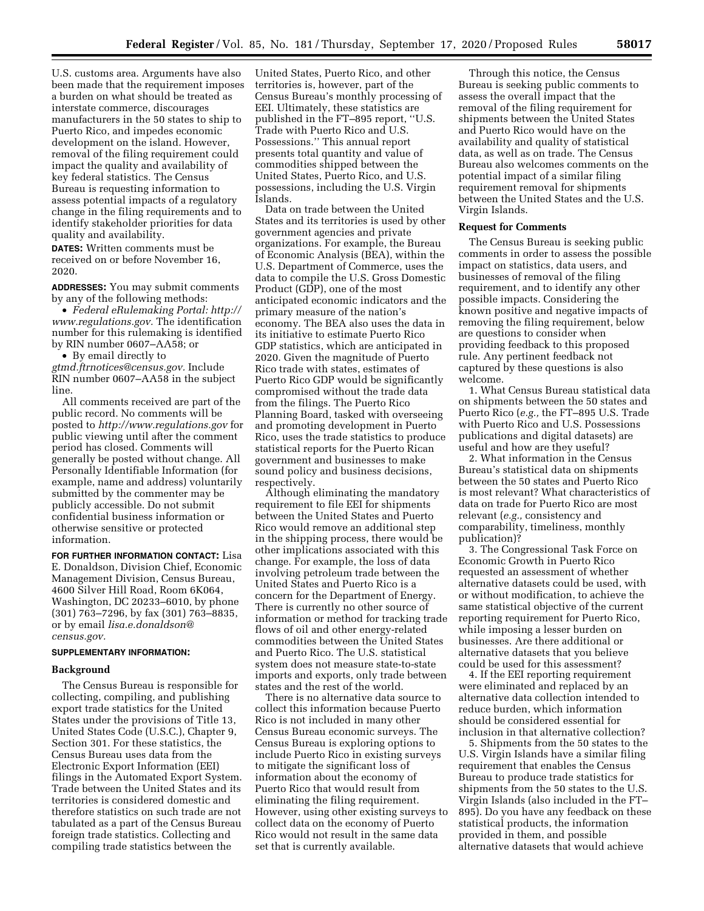U.S. customs area. Arguments have also been made that the requirement imposes a burden on what should be treated as interstate commerce, discourages manufacturers in the 50 states to ship to Puerto Rico, and impedes economic development on the island. However, removal of the filing requirement could impact the quality and availability of key federal statistics. The Census Bureau is requesting information to assess potential impacts of a regulatory change in the filing requirements and to identify stakeholder priorities for data quality and availability.

**DATES:** Written comments must be received on or before November 16, 2020.

**ADDRESSES:** You may submit comments by any of the following methods:

• *Federal eRulemaking Portal: [http://](http://www.regulations.gov)  [www.regulations.gov.](http://www.regulations.gov)* The identification number for this rulemaking is identified by RIN number 0607–AA58; or

• By email directly to

*[gtmd.ftrnotices@census.gov.](mailto:gtmd.ftrnotices@census.gov)* Include RIN number 0607–AA58 in the subject line.

All comments received are part of the public record. No comments will be posted to *<http://www.regulations.gov>*for public viewing until after the comment period has closed. Comments will generally be posted without change. All Personally Identifiable Information (for example, name and address) voluntarily submitted by the commenter may be publicly accessible. Do not submit confidential business information or otherwise sensitive or protected information.

**FOR FURTHER INFORMATION CONTACT:** Lisa E. Donaldson, Division Chief, Economic Management Division, Census Bureau, 4600 Silver Hill Road, Room 6K064, Washington, DC 20233–6010, by phone (301) 763–7296, by fax (301) 763–8835, or by email *[lisa.e.donaldson@](mailto:lisa.e.donaldson@census.gov) [census.gov.](mailto:lisa.e.donaldson@census.gov)* 

## **SUPPLEMENTARY INFORMATION:**

#### **Background**

The Census Bureau is responsible for collecting, compiling, and publishing export trade statistics for the United States under the provisions of Title 13, United States Code (U.S.C.), Chapter 9, Section 301. For these statistics, the Census Bureau uses data from the Electronic Export Information (EEI) filings in the Automated Export System. Trade between the United States and its territories is considered domestic and therefore statistics on such trade are not tabulated as a part of the Census Bureau foreign trade statistics. Collecting and compiling trade statistics between the

United States, Puerto Rico, and other territories is, however, part of the Census Bureau's monthly processing of EEI. Ultimately, these statistics are published in the FT–895 report, ''U.S. Trade with Puerto Rico and U.S. Possessions.'' This annual report presents total quantity and value of commodities shipped between the United States, Puerto Rico, and U.S. possessions, including the U.S. Virgin Islands.

Data on trade between the United States and its territories is used by other government agencies and private organizations. For example, the Bureau of Economic Analysis (BEA), within the U.S. Department of Commerce, uses the data to compile the U.S. Gross Domestic Product (GDP), one of the most anticipated economic indicators and the primary measure of the nation's economy. The BEA also uses the data in its initiative to estimate Puerto Rico GDP statistics, which are anticipated in 2020. Given the magnitude of Puerto Rico trade with states, estimates of Puerto Rico GDP would be significantly compromised without the trade data from the filings. The Puerto Rico Planning Board, tasked with overseeing and promoting development in Puerto Rico, uses the trade statistics to produce statistical reports for the Puerto Rican government and businesses to make sound policy and business decisions, respectively.

Although eliminating the mandatory requirement to file EEI for shipments between the United States and Puerto Rico would remove an additional step in the shipping process, there would be other implications associated with this change. For example, the loss of data involving petroleum trade between the United States and Puerto Rico is a concern for the Department of Energy. There is currently no other source of information or method for tracking trade flows of oil and other energy-related commodities between the United States and Puerto Rico. The U.S. statistical system does not measure state-to-state imports and exports, only trade between states and the rest of the world.

There is no alternative data source to collect this information because Puerto Rico is not included in many other Census Bureau economic surveys. The Census Bureau is exploring options to include Puerto Rico in existing surveys to mitigate the significant loss of information about the economy of Puerto Rico that would result from eliminating the filing requirement. However, using other existing surveys to collect data on the economy of Puerto Rico would not result in the same data set that is currently available.

Through this notice, the Census Bureau is seeking public comments to assess the overall impact that the removal of the filing requirement for shipments between the United States and Puerto Rico would have on the availability and quality of statistical data, as well as on trade. The Census Bureau also welcomes comments on the potential impact of a similar filing requirement removal for shipments between the United States and the U.S. Virgin Islands.

## **Request for Comments**

The Census Bureau is seeking public comments in order to assess the possible impact on statistics, data users, and businesses of removal of the filing requirement, and to identify any other possible impacts. Considering the known positive and negative impacts of removing the filing requirement, below are questions to consider when providing feedback to this proposed rule. Any pertinent feedback not captured by these questions is also welcome.

1. What Census Bureau statistical data on shipments between the 50 states and Puerto Rico (*e.g.,* the FT–895 U.S. Trade with Puerto Rico and U.S. Possessions publications and digital datasets) are useful and how are they useful?

2. What information in the Census Bureau's statistical data on shipments between the 50 states and Puerto Rico is most relevant? What characteristics of data on trade for Puerto Rico are most relevant (*e.g.,* consistency and comparability, timeliness, monthly publication)?

3. The Congressional Task Force on Economic Growth in Puerto Rico requested an assessment of whether alternative datasets could be used, with or without modification, to achieve the same statistical objective of the current reporting requirement for Puerto Rico, while imposing a lesser burden on businesses. Are there additional or alternative datasets that you believe could be used for this assessment?

4. If the EEI reporting requirement were eliminated and replaced by an alternative data collection intended to reduce burden, which information should be considered essential for inclusion in that alternative collection?

5. Shipments from the 50 states to the U.S. Virgin Islands have a similar filing requirement that enables the Census Bureau to produce trade statistics for shipments from the 50 states to the U.S. Virgin Islands (also included in the FT– 895). Do you have any feedback on these statistical products, the information provided in them, and possible alternative datasets that would achieve